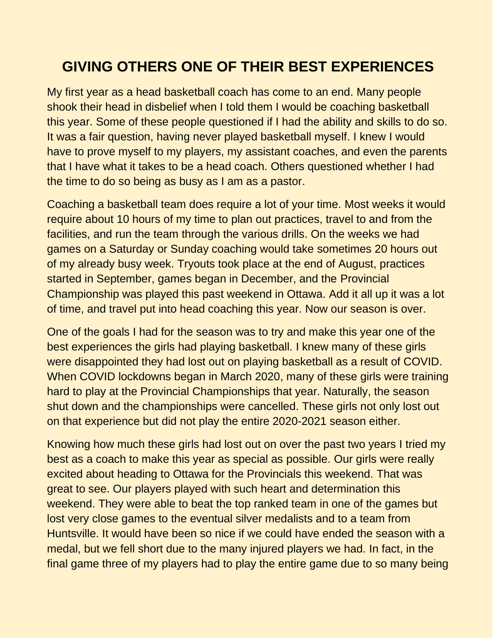## **GIVING OTHERS ONE OF THEIR BEST EXPERIENCES**

My first year as a head basketball coach has come to an end. Many people shook their head in disbelief when I told them I would be coaching basketball this year. Some of these people questioned if I had the ability and skills to do so. It was a fair question, having never played basketball myself. I knew I would have to prove myself to my players, my assistant coaches, and even the parents that I have what it takes to be a head coach. Others questioned whether I had the time to do so being as busy as I am as a pastor.

Coaching a basketball team does require a lot of your time. Most weeks it would require about 10 hours of my time to plan out practices, travel to and from the facilities, and run the team through the various drills. On the weeks we had games on a Saturday or Sunday coaching would take sometimes 20 hours out of my already busy week. Tryouts took place at the end of August, practices started in September, games began in December, and the Provincial Championship was played this past weekend in Ottawa. Add it all up it was a lot of time, and travel put into head coaching this year. Now our season is over.

One of the goals I had for the season was to try and make this year one of the best experiences the girls had playing basketball. I knew many of these girls were disappointed they had lost out on playing basketball as a result of COVID. When COVID lockdowns began in March 2020, many of these girls were training hard to play at the Provincial Championships that year. Naturally, the season shut down and the championships were cancelled. These girls not only lost out on that experience but did not play the entire 2020-2021 season either.

Knowing how much these girls had lost out on over the past two years I tried my best as a coach to make this year as special as possible. Our girls were really excited about heading to Ottawa for the Provincials this weekend. That was great to see. Our players played with such heart and determination this weekend. They were able to beat the top ranked team in one of the games but lost very close games to the eventual silver medalists and to a team from Huntsville. It would have been so nice if we could have ended the season with a medal, but we fell short due to the many injured players we had. In fact, in the final game three of my players had to play the entire game due to so many being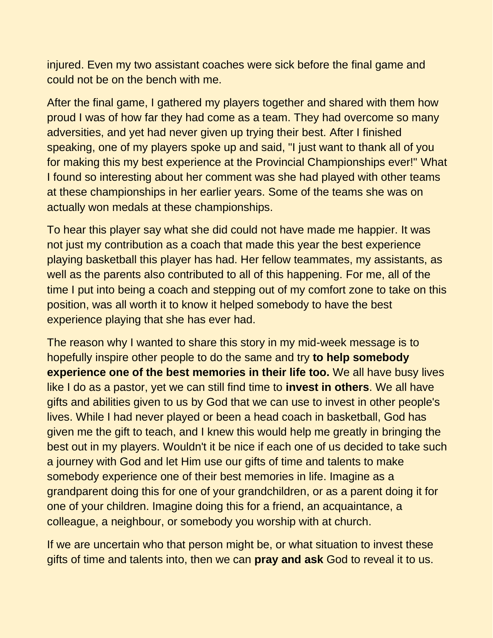injured. Even my two assistant coaches were sick before the final game and could not be on the bench with me.

After the final game, I gathered my players together and shared with them how proud I was of how far they had come as a team. They had overcome so many adversities, and yet had never given up trying their best. After I finished speaking, one of my players spoke up and said, "I just want to thank all of you for making this my best experience at the Provincial Championships ever!" What I found so interesting about her comment was she had played with other teams at these championships in her earlier years. Some of the teams she was on actually won medals at these championships.

To hear this player say what she did could not have made me happier. It was not just my contribution as a coach that made this year the best experience playing basketball this player has had. Her fellow teammates, my assistants, as well as the parents also contributed to all of this happening. For me, all of the time I put into being a coach and stepping out of my comfort zone to take on this position, was all worth it to know it helped somebody to have the best experience playing that she has ever had.

The reason why I wanted to share this story in my mid-week message is to hopefully inspire other people to do the same and try **to help somebody experience one of the best memories in their life too.** We all have busy lives like I do as a pastor, yet we can still find time to **invest in others**. We all have gifts and abilities given to us by God that we can use to invest in other people's lives. While I had never played or been a head coach in basketball, God has given me the gift to teach, and I knew this would help me greatly in bringing the best out in my players. Wouldn't it be nice if each one of us decided to take such a journey with God and let Him use our gifts of time and talents to make somebody experience one of their best memories in life. Imagine as a grandparent doing this for one of your grandchildren, or as a parent doing it for one of your children. Imagine doing this for a friend, an acquaintance, a colleague, a neighbour, or somebody you worship with at church.

If we are uncertain who that person might be, or what situation to invest these gifts of time and talents into, then we can **pray and ask** God to reveal it to us.